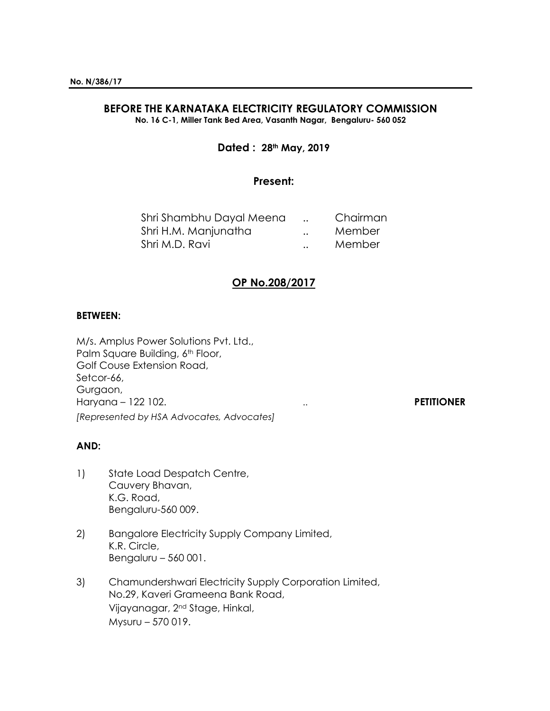## **BEFORE THE KARNATAKA ELECTRICITY REGULATORY COMMISSION**

**No. 16 C-1, Miller Tank Bed Area, Vasanth Nagar, Bengaluru- 560 052**

### **Dated : 28th May, 2019**

### **Present:**

| Shri Shambhu Dayal Meena |                      | Chairman |
|--------------------------|----------------------|----------|
| Shri H.M. Manjunatha     | $\ddot{\phantom{a}}$ | Member   |
| Shri M.D. Ravi           | $\ddot{\phantom{a}}$ | Member   |

### **OP No.208/2017**

#### **BETWEEN:**

M/s. Amplus Power Solutions Pvt. Ltd., Palm Square Building, 6th Floor, Golf Couse Extension Road, Setcor-66, Gurgaon, Haryana – 122 102. .. **PETITIONER** *[Represented by HSA Advocates, Advocates]*

# **AND:**

- 1) State Load Despatch Centre, Cauvery Bhavan, K.G. Road, Bengaluru-560 009.
- 2) Bangalore Electricity Supply Company Limited, K.R. Circle, Bengaluru – 560 001.
- 3) Chamundershwari Electricity Supply Corporation Limited, No.29, Kaveri Grameena Bank Road, Vijayanagar, 2nd Stage, Hinkal, Mysuru – 570 019.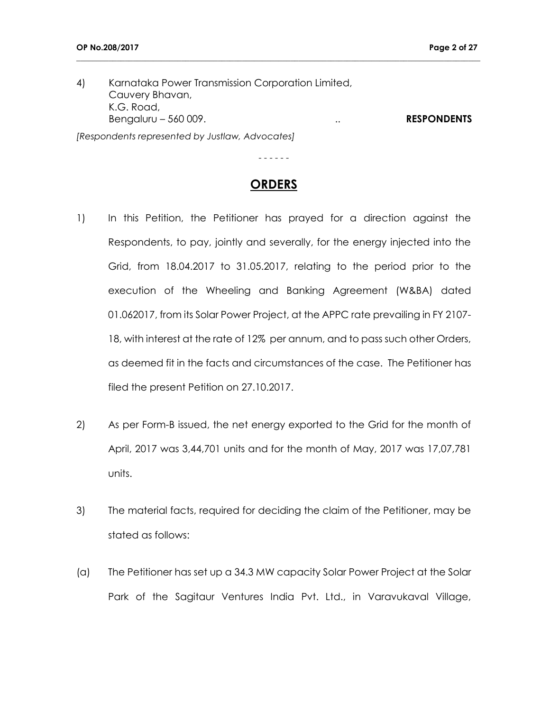4) Karnataka Power Transmission Corporation Limited, Cauvery Bhavan, K.G. Road, Bengaluru – 560 009. .. **RESPONDENTS** *[Respondents represented by Justlaw, Advocates]*

**\_\_\_\_\_\_\_\_\_\_\_\_\_\_\_\_\_\_\_\_\_\_\_\_\_\_\_\_\_\_\_\_\_\_\_\_\_\_\_\_\_\_\_\_\_\_\_\_\_\_\_\_\_\_\_\_\_\_\_\_\_\_\_\_\_\_\_\_\_\_\_\_\_\_\_\_\_\_\_\_\_\_\_\_\_\_\_\_\_\_\_\_\_\_\_\_\_\_\_\_**

- - - - - -

### **ORDERS**

- 1) In this Petition, the Petitioner has prayed for a direction against the Respondents, to pay, jointly and severally, for the energy injected into the Grid, from 18.04.2017 to 31.05.2017, relating to the period prior to the execution of the Wheeling and Banking Agreement (W&BA) dated 01.062017, from its Solar Power Project, at the APPC rate prevailing in FY 2107- 18, with interest at the rate of 12% per annum, and to pass such other Orders, as deemed fit in the facts and circumstances of the case. The Petitioner has filed the present Petition on 27.10.2017.
- 2) As per Form-B issued, the net energy exported to the Grid for the month of April, 2017 was 3,44,701 units and for the month of May, 2017 was 17,07,781 units.
- 3) The material facts, required for deciding the claim of the Petitioner, may be stated as follows:
- (a) The Petitioner has set up a 34.3 MW capacity Solar Power Project at the Solar Park of the Sagitaur Ventures India Pvt. Ltd., in Varavukaval Village,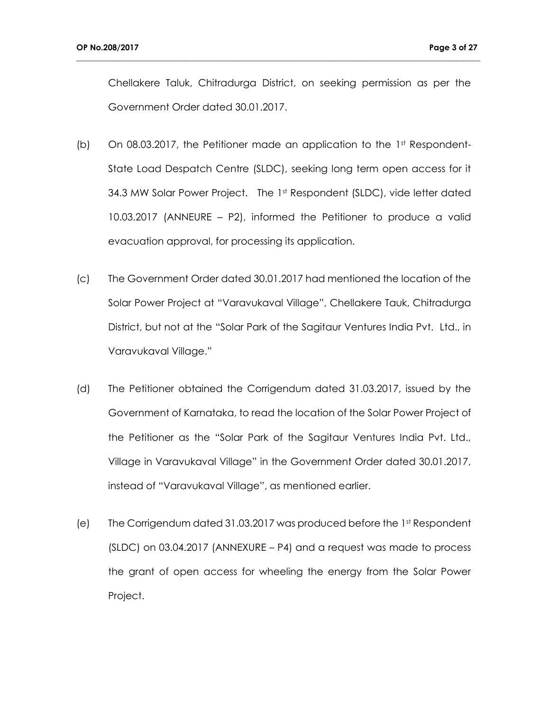Chellakere Taluk, Chitradurga District, on seeking permission as per the Government Order dated 30.01.2017.

- (b) On 08.03.2017, the Petitioner made an application to the  $1<sup>st</sup>$  Respondent-State Load Despatch Centre (SLDC), seeking long term open access for it 34.3 MW Solar Power Project. The 1st Respondent (SLDC), vide letter dated 10.03.2017 (ANNEURE – P2), informed the Petitioner to produce a valid evacuation approval, for processing its application.
- (c) The Government Order dated 30.01.2017 had mentioned the location of the Solar Power Project at "Varavukaval Village", Chellakere Tauk, Chitradurga District, but not at the "Solar Park of the Sagitaur Ventures India Pvt. Ltd., in Varavukaval Village."
- (d) The Petitioner obtained the Corrigendum dated 31.03.2017, issued by the Government of Karnataka, to read the location of the Solar Power Project of the Petitioner as the "Solar Park of the Sagitaur Ventures India Pvt. Ltd., Village in Varavukaval Village" in the Government Order dated 30.01.2017, instead of "Varavukaval Village", as mentioned earlier.
- (e) The Corrigendum dated 31.03.2017 was produced before the 1st Respondent (SLDC) on 03.04.2017 (ANNEXURE – P4) and a request was made to process the grant of open access for wheeling the energy from the Solar Power Project.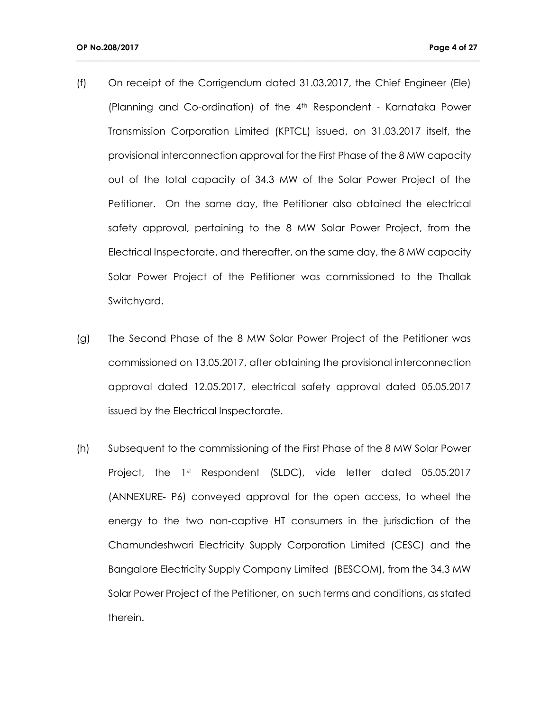(f) On receipt of the Corrigendum dated 31.03.2017, the Chief Engineer (Ele) (Planning and Co-ordination) of the 4th Respondent - Karnataka Power Transmission Corporation Limited (KPTCL) issued, on 31.03.2017 itself, the provisional interconnection approval for the First Phase of the 8 MW capacity out of the total capacity of 34.3 MW of the Solar Power Project of the Petitioner. On the same day, the Petitioner also obtained the electrical safety approval, pertaining to the 8 MW Solar Power Project, from the Electrical Inspectorate, and thereafter, on the same day, the 8 MW capacity Solar Power Project of the Petitioner was commissioned to the Thallak Switchyard.

- (g) The Second Phase of the 8 MW Solar Power Project of the Petitioner was commissioned on 13.05.2017, after obtaining the provisional interconnection approval dated 12.05.2017, electrical safety approval dated 05.05.2017 issued by the Electrical Inspectorate.
- (h) Subsequent to the commissioning of the First Phase of the 8 MW Solar Power Project, the 1st Respondent (SLDC), vide letter dated 05.05.2017 (ANNEXURE- P6) conveyed approval for the open access, to wheel the energy to the two non-captive HT consumers in the jurisdiction of the Chamundeshwari Electricity Supply Corporation Limited (CESC) and the Bangalore Electricity Supply Company Limited (BESCOM), from the 34.3 MW Solar Power Project of the Petitioner, on such terms and conditions, as stated therein.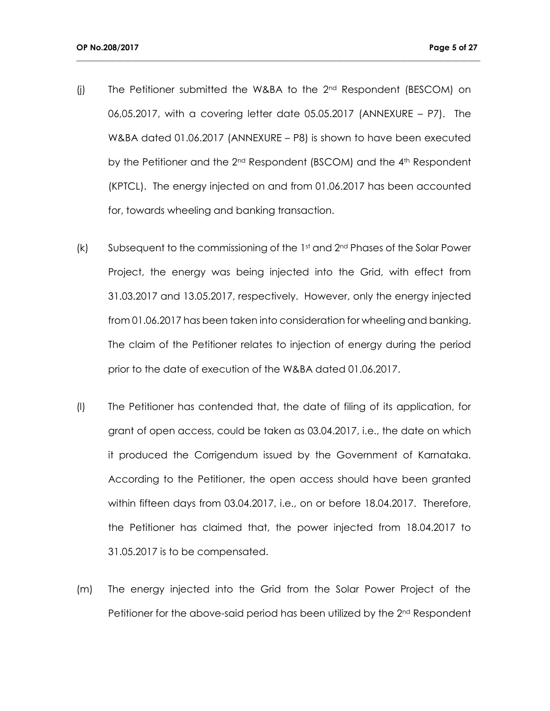(j) The Petitioner submitted the W&BA to the 2nd Respondent (BESCOM) on 06,05.2017, with a covering letter date 05.05.2017 (ANNEXURE – P7). The W&BA dated 01.06.2017 (ANNEXURE – P8) is shown to have been executed by the Petitioner and the 2<sup>nd</sup> Respondent (BSCOM) and the 4<sup>th</sup> Respondent (KPTCL). The energy injected on and from 01.06.2017 has been accounted for, towards wheeling and banking transaction.

- (k) Subsequent to the commissioning of the 1st and 2nd Phases of the Solar Power Project, the energy was being injected into the Grid, with effect from 31.03.2017 and 13.05.2017, respectively. However, only the energy injected from 01.06.2017 has been taken into consideration for wheeling and banking. The claim of the Petitioner relates to injection of energy during the period prior to the date of execution of the W&BA dated 01.06.2017.
- (l) The Petitioner has contended that, the date of filing of its application, for grant of open access, could be taken as 03.04.2017, i.e., the date on which it produced the Corrigendum issued by the Government of Karnataka. According to the Petitioner, the open access should have been granted within fifteen days from 03.04.2017, i.e., on or before 18.04.2017. Therefore, the Petitioner has claimed that, the power injected from 18.04.2017 to 31.05.2017 is to be compensated.
- (m) The energy injected into the Grid from the Solar Power Project of the Petitioner for the above-said period has been utilized by the  $2<sup>nd</sup>$  Respondent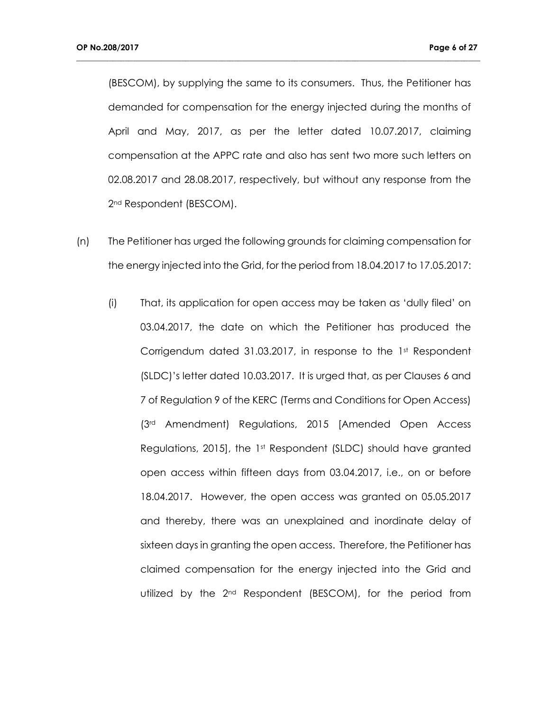(BESCOM), by supplying the same to its consumers. Thus, the Petitioner has demanded for compensation for the energy injected during the months of April and May, 2017, as per the letter dated 10.07.2017, claiming compensation at the APPC rate and also has sent two more such letters on 02.08.2017 and 28.08.2017, respectively, but without any response from the 2nd Respondent (BESCOM).

- (n) The Petitioner has urged the following grounds for claiming compensation for the energy injected into the Grid, for the period from 18.04.2017 to 17.05.2017:
	- (i) That, its application for open access may be taken as 'dully filed' on 03.04.2017, the date on which the Petitioner has produced the Corrigendum dated 31.03.2017, in response to the 1st Respondent (SLDC)'s letter dated 10.03.2017. It is urged that, as per Clauses 6 and 7 of Regulation 9 of the KERC (Terms and Conditions for Open Access) (3rd Amendment) Regulations, 2015 [Amended Open Access Regulations, 2015], the 1st Respondent (SLDC) should have granted open access within fifteen days from 03.04.2017, i.e., on or before 18.04.2017. However, the open access was granted on 05.05.2017 and thereby, there was an unexplained and inordinate delay of sixteen days in granting the open access. Therefore, the Petitioner has claimed compensation for the energy injected into the Grid and utilized by the 2<sup>nd</sup> Respondent (BESCOM), for the period from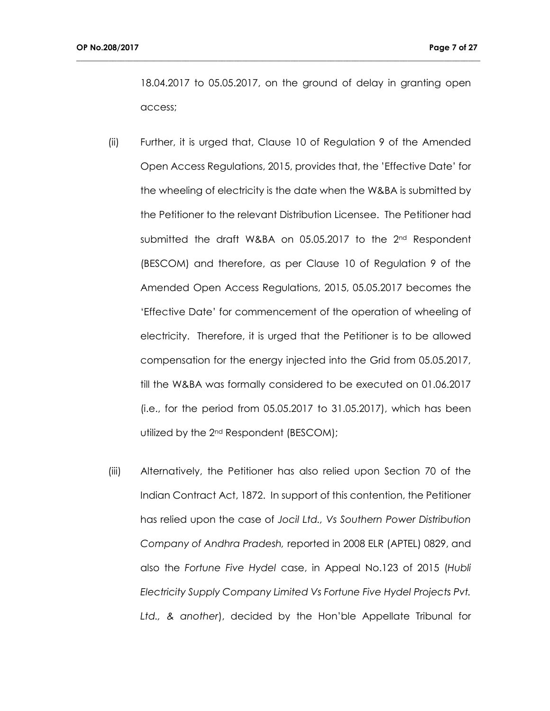18.04.2017 to 05.05.2017, on the ground of delay in granting open access;

- (ii) Further, it is urged that, Clause 10 of Regulation 9 of the Amended Open Access Regulations, 2015, provides that, the 'Effective Date' for the wheeling of electricity is the date when the W&BA is submitted by the Petitioner to the relevant Distribution Licensee. The Petitioner had submitted the draft W&BA on 05.05.2017 to the 2<sup>nd</sup> Respondent (BESCOM) and therefore, as per Clause 10 of Regulation 9 of the Amended Open Access Regulations, 2015, 05.05.2017 becomes the 'Effective Date' for commencement of the operation of wheeling of electricity. Therefore, it is urged that the Petitioner is to be allowed compensation for the energy injected into the Grid from 05.05.2017, till the W&BA was formally considered to be executed on 01.06.2017 (i.e., for the period from 05.05.2017 to 31.05.2017), which has been utilized by the 2nd Respondent (BESCOM);
- (iii) Alternatively, the Petitioner has also relied upon Section 70 of the Indian Contract Act, 1872. In support of this contention, the Petitioner has relied upon the case of *Jocil Ltd., Vs Southern Power Distribution Company of Andhra Pradesh,* reported in 2008 ELR (APTEL) 0829, and also the *Fortune Five Hydel* case, in Appeal No.123 of 2015 (*Hubli Electricity Supply Company Limited Vs Fortune Five Hydel Projects Pvt. Ltd., & another*), decided by the Hon'ble Appellate Tribunal for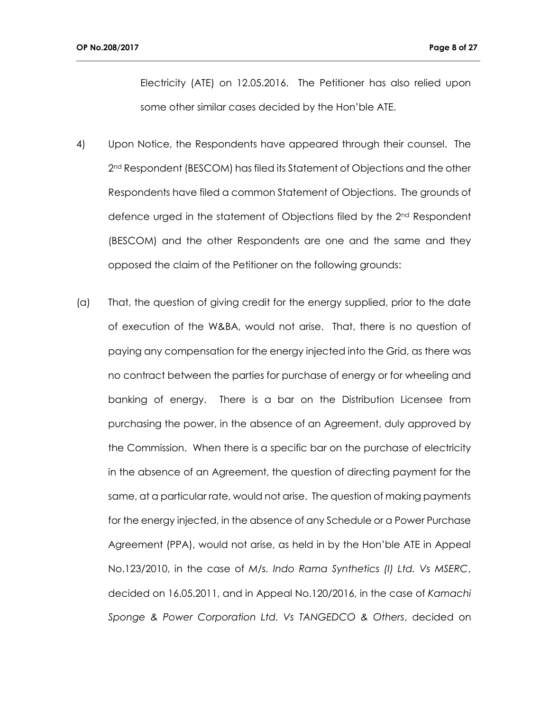Electricity (ATE) on 12.05.2016. The Petitioner has also relied upon some other similar cases decided by the Hon'ble ATE.

4) Upon Notice, the Respondents have appeared through their counsel. The 2<sup>nd</sup> Respondent (BESCOM) has filed its Statement of Objections and the other Respondents have filed a common Statement of Objections. The grounds of defence urged in the statement of Objections filed by the 2nd Respondent (BESCOM) and the other Respondents are one and the same and they opposed the claim of the Petitioner on the following grounds:

**\_\_\_\_\_\_\_\_\_\_\_\_\_\_\_\_\_\_\_\_\_\_\_\_\_\_\_\_\_\_\_\_\_\_\_\_\_\_\_\_\_\_\_\_\_\_\_\_\_\_\_\_\_\_\_\_\_\_\_\_\_\_\_\_\_\_\_\_\_\_\_\_\_\_\_\_\_\_\_\_\_\_\_\_\_\_\_\_\_\_\_\_\_\_\_\_\_\_\_\_**

(a) That, the question of giving credit for the energy supplied, prior to the date of execution of the W&BA, would not arise. That, there is no question of paying any compensation for the energy injected into the Grid, as there was no contract between the parties for purchase of energy or for wheeling and banking of energy. There is a bar on the Distribution Licensee from purchasing the power, in the absence of an Agreement, duly approved by the Commission. When there is a specific bar on the purchase of electricity in the absence of an Agreement, the question of directing payment for the same, at a particular rate, would not arise. The question of making payments for the energy injected, in the absence of any Schedule or a Power Purchase Agreement (PPA), would not arise, as held in by the Hon'ble ATE in Appeal No.123/2010, in the case of *M/s. Indo Rama Synthetics (I) Ltd. Vs MSERC*, decided on 16.05.2011, and in Appeal No.120/2016, in the case of *Kamachi Sponge & Power Corporation Ltd. Vs TANGEDCO & Others*, decided on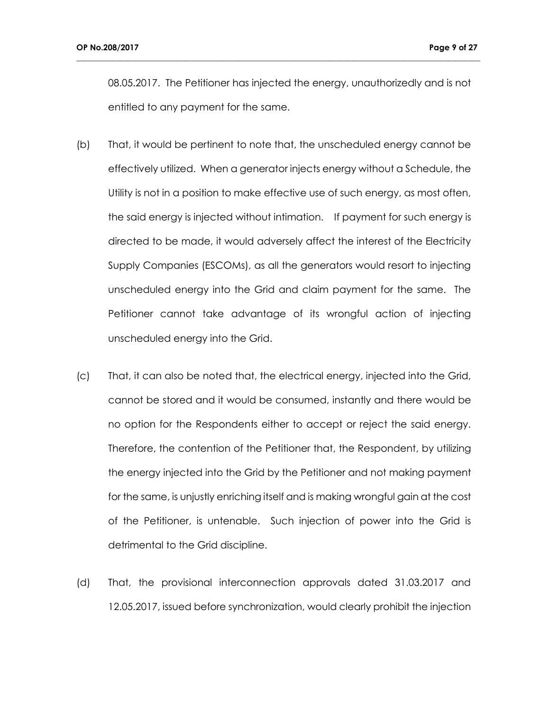08.05.2017. The Petitioner has injected the energy, unauthorizedly and is not entitled to any payment for the same.

- (b) That, it would be pertinent to note that, the unscheduled energy cannot be effectively utilized. When a generator injects energy without a Schedule, the Utility is not in a position to make effective use of such energy, as most often, the said energy is injected without intimation. If payment for such energy is directed to be made, it would adversely affect the interest of the Electricity Supply Companies (ESCOMs), as all the generators would resort to injecting unscheduled energy into the Grid and claim payment for the same. The Petitioner cannot take advantage of its wrongful action of injecting unscheduled energy into the Grid.
- (c) That, it can also be noted that, the electrical energy, injected into the Grid, cannot be stored and it would be consumed, instantly and there would be no option for the Respondents either to accept or reject the said energy. Therefore, the contention of the Petitioner that, the Respondent, by utilizing the energy injected into the Grid by the Petitioner and not making payment for the same, is unjustly enriching itself and is making wrongful gain at the cost of the Petitioner, is untenable. Such injection of power into the Grid is detrimental to the Grid discipline.
- (d) That, the provisional interconnection approvals dated 31.03.2017 and 12.05.2017, issued before synchronization, would clearly prohibit the injection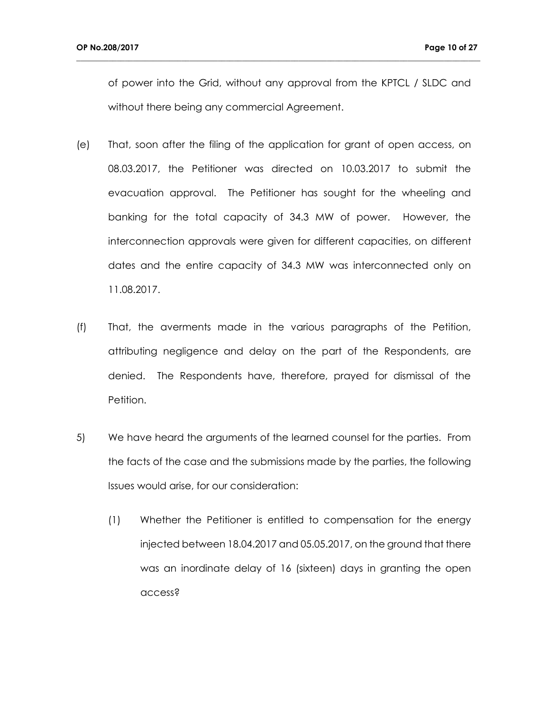of power into the Grid, without any approval from the KPTCL / SLDC and without there being any commercial Agreement.

- (e) That, soon after the filing of the application for grant of open access, on 08.03.2017, the Petitioner was directed on 10.03.2017 to submit the evacuation approval. The Petitioner has sought for the wheeling and banking for the total capacity of 34.3 MW of power. However, the interconnection approvals were given for different capacities, on different dates and the entire capacity of 34.3 MW was interconnected only on 11.08.2017.
- (f) That, the averments made in the various paragraphs of the Petition, attributing negligence and delay on the part of the Respondents, are denied. The Respondents have, therefore, prayed for dismissal of the Petition.
- 5) We have heard the arguments of the learned counsel for the parties. From the facts of the case and the submissions made by the parties, the following Issues would arise, for our consideration:
	- (1) Whether the Petitioner is entitled to compensation for the energy injected between 18.04.2017 and 05.05.2017, on the ground that there was an inordinate delay of 16 (sixteen) days in granting the open access?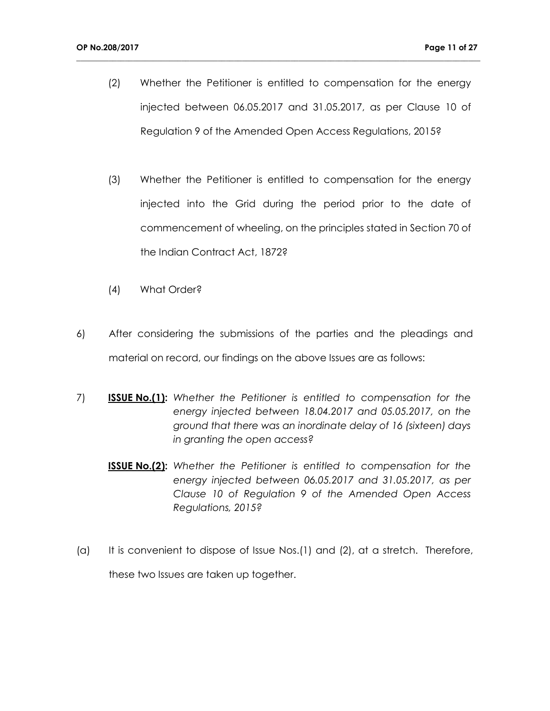(2) Whether the Petitioner is entitled to compensation for the energy injected between 06.05.2017 and 31.05.2017, as per Clause 10 of Regulation 9 of the Amended Open Access Regulations, 2015?

- (3) Whether the Petitioner is entitled to compensation for the energy injected into the Grid during the period prior to the date of commencement of wheeling, on the principles stated in Section 70 of the Indian Contract Act, 1872?
- (4) What Order?
- 6) After considering the submissions of the parties and the pleadings and material on record, our findings on the above Issues are as follows:
- 7) **ISSUE No.(1):** *Whether the Petitioner is entitled to compensation for the energy injected between 18.04.2017 and 05.05.2017, on the ground that there was an inordinate delay of 16 (sixteen) days in granting the open access?*
	- **ISSUE No.(2):** *Whether the Petitioner is entitled to compensation for the energy injected between 06.05.2017 and 31.05.2017, as per Clause 10 of Regulation 9 of the Amended Open Access Regulations, 2015?*
- (a) It is convenient to dispose of Issue Nos.(1) and (2), at a stretch. Therefore, these two Issues are taken up together.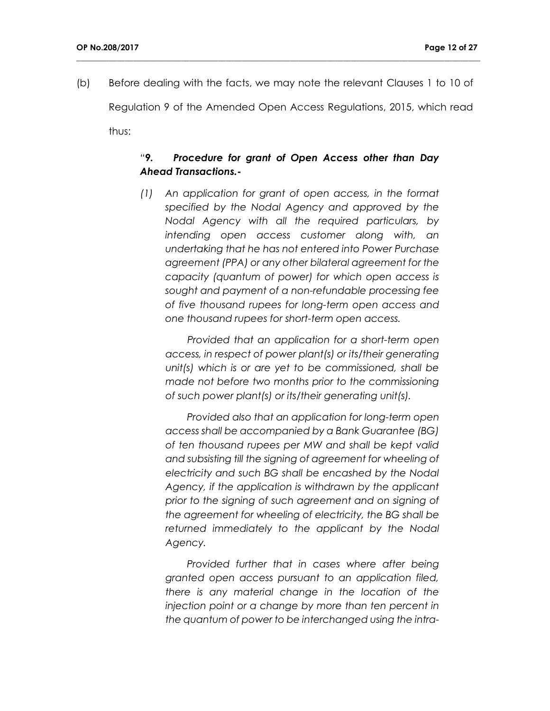(b) Before dealing with the facts, we may note the relevant Clauses 1 to 10 of

**\_\_\_\_\_\_\_\_\_\_\_\_\_\_\_\_\_\_\_\_\_\_\_\_\_\_\_\_\_\_\_\_\_\_\_\_\_\_\_\_\_\_\_\_\_\_\_\_\_\_\_\_\_\_\_\_\_\_\_\_\_\_\_\_\_\_\_\_\_\_\_\_\_\_\_\_\_\_\_\_\_\_\_\_\_\_\_\_\_\_\_\_\_\_\_\_\_\_\_\_**

Regulation 9 of the Amended Open Access Regulations, 2015, which read

thus:

### *"9. Procedure for grant of Open Access other than Day Ahead Transactions.-*

*(1) An application for grant of open access, in the format specified by the Nodal Agency and approved by the Nodal Agency with all the required particulars, by intending open access customer along with, an undertaking that he has not entered into Power Purchase agreement (PPA) or any other bilateral agreement for the capacity (quantum of power) for which open access is sought and payment of a non-refundable processing fee of five thousand rupees for long-term open access and one thousand rupees for short-term open access.*

 *Provided that an application for a short-term open access, in respect of power plant(s) or its/their generating unit(s) which is or are yet to be commissioned, shall be made not before two months prior to the commissioning of such power plant(s) or its/their generating unit(s).*

 *Provided also that an application for long-term open access shall be accompanied by a Bank Guarantee (BG) of ten thousand rupees per MW and shall be kept valid and subsisting till the signing of agreement for wheeling of electricity and such BG shall be encashed by the Nodal Agency, if the application is withdrawn by the applicant prior to the signing of such agreement and on signing of the agreement for wheeling of electricity, the BG shall be returned immediately to the applicant by the Nodal Agency.*

 *Provided further that in cases where after being granted open access pursuant to an application filed, there is any material change in the location of the injection point or a change by more than ten percent in the quantum of power to be interchanged using the intra-*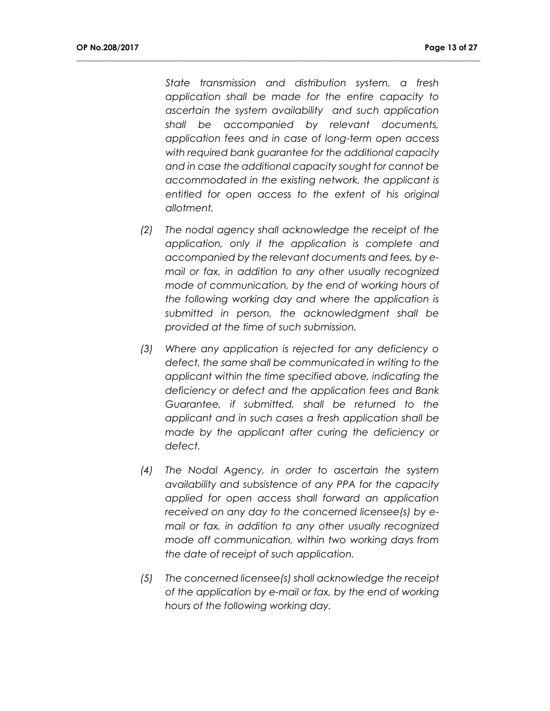*State transmission and distribution system, a fresh application shall be made for the entire capacity to ascertain the system availability and such application shall be accompanied by relevant documents, application fees and in case of long-term open access with required bank guarantee for the additional capacity and in case the additional capacity sought for cannot be accommodated in the existing network, the applicant is entitled for open access to the extent of his original allotment.*

- *(2) The nodal agency shall acknowledge the receipt of the application, only if the application is complete and accompanied by the relevant documents and fees, by email or fax, in addition to any other usually recognized mode of communication, by the end of working hours of the following working day and where the application is submitted in person, the acknowledgment shall be provided at the time of such submission.*
- *(3) Where any application is rejected for any deficiency o defect, the same shall be communicated in writing to the applicant within the time specified above, indicating the deficiency or defect and the application fees and Bank Guarantee, if submitted, shall be returned to the applicant and in such cases a fresh application shall be made by the applicant after curing the deficiency or defect.*
- *(4) The Nodal Agency, in order to ascertain the system availability and subsistence of any PPA for the capacity applied for open access shall forward an application received on any day to the concerned licensee(s) by email or fax, in addition to any other usually recognized mode off communication, within two working days from the date of receipt of such application.*
- *(5) The concerned licensee(s) shall acknowledge the receipt of the application by e-mail or fax, by the end of working hours of the following working day.*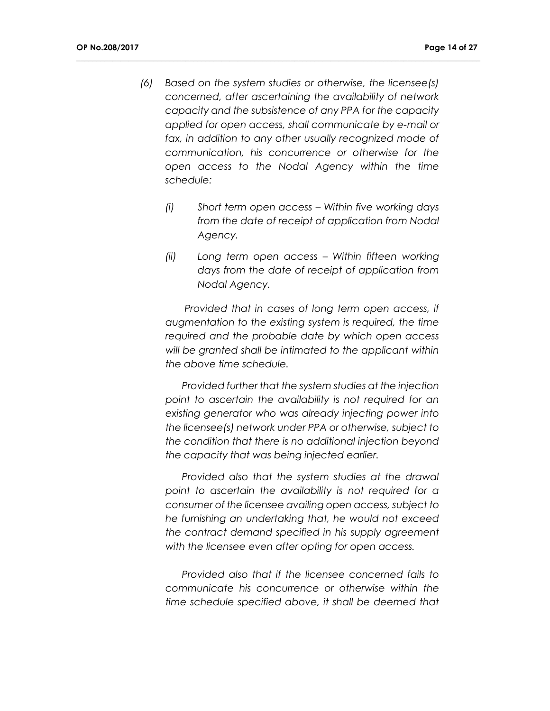*(6) Based on the system studies or otherwise, the licensee(s) concerned, after ascertaining the availability of network capacity and the subsistence of any PPA for the capacity applied for open access, shall communicate by e-mail or*  fax, in addition to any other usually recognized mode of *communication, his concurrence or otherwise for the open access to the Nodal Agency within the time schedule:*

**\_\_\_\_\_\_\_\_\_\_\_\_\_\_\_\_\_\_\_\_\_\_\_\_\_\_\_\_\_\_\_\_\_\_\_\_\_\_\_\_\_\_\_\_\_\_\_\_\_\_\_\_\_\_\_\_\_\_\_\_\_\_\_\_\_\_\_\_\_\_\_\_\_\_\_\_\_\_\_\_\_\_\_\_\_\_\_\_\_\_\_\_\_\_\_\_\_\_\_\_**

- *(i) Short term open access – Within five working days from the date of receipt of application from Nodal Agency.*
- *(ii) Long term open access – Within fifteen working days from the date of receipt of application from Nodal Agency.*

 *Provided that in cases of long term open access, if augmentation to the existing system is required, the time required and the probable date by which open access will be granted shall be intimated to the applicant within the above time schedule.*

 *Provided further that the system studies at the injection point to ascertain the availability is not required for an existing generator who was already injecting power into the licensee(s) network under PPA or otherwise, subject to the condition that there is no additional injection beyond the capacity that was being injected earlier.*

 *Provided also that the system studies at the drawal point to ascertain the availability is not required for a consumer of the licensee availing open access, subject to he furnishing an undertaking that, he would not exceed the contract demand specified in his supply agreement with the licensee even after opting for open access.* 

 *Provided also that if the licensee concerned fails to communicate his concurrence or otherwise within the time schedule specified above, it shall be deemed that*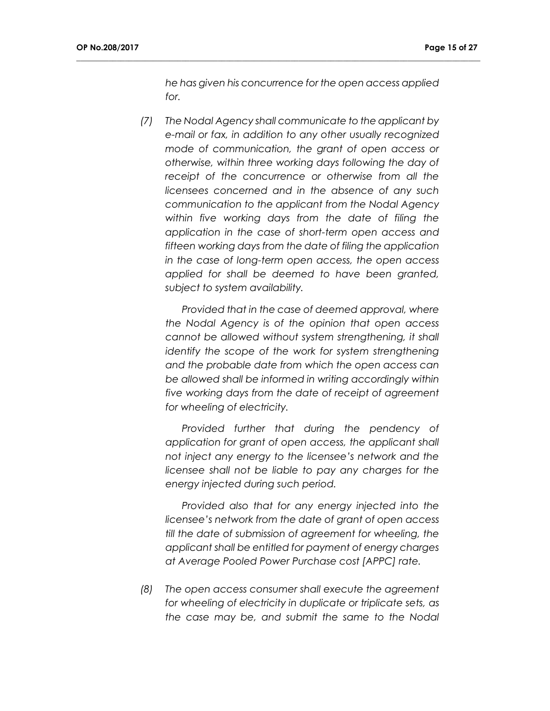*he has given his concurrence for the open access applied for.*

**\_\_\_\_\_\_\_\_\_\_\_\_\_\_\_\_\_\_\_\_\_\_\_\_\_\_\_\_\_\_\_\_\_\_\_\_\_\_\_\_\_\_\_\_\_\_\_\_\_\_\_\_\_\_\_\_\_\_\_\_\_\_\_\_\_\_\_\_\_\_\_\_\_\_\_\_\_\_\_\_\_\_\_\_\_\_\_\_\_\_\_\_\_\_\_\_\_\_\_\_**

*(7) The Nodal Agency shall communicate to the applicant by e-mail or fax, in addition to any other usually recognized mode of communication, the grant of open access or otherwise, within three working days following the day of receipt of the concurrence or otherwise from all the licensees concerned and in the absence of any such communication to the applicant from the Nodal Agency within five working days from the date of filing the application in the case of short-term open access and fifteen working days from the date of filing the application in the case of long-term open access, the open access applied for shall be deemed to have been granted, subject to system availability.*

 *Provided that in the case of deemed approval, where the Nodal Agency is of the opinion that open access cannot be allowed without system strengthening, it shall identify the scope of the work for system strengthening and the probable date from which the open access can be allowed shall be informed in writing accordingly within five working days from the date of receipt of agreement for wheeling of electricity.*

 *Provided further that during the pendency of application for grant of open access, the applicant shall not inject any energy to the licensee's network and the licensee shall not be liable to pay any charges for the energy injected during such period.*

 *Provided also that for any energy injected into the licensee's network from the date of grant of open access till the date of submission of agreement for wheeling, the applicant shall be entitled for payment of energy charges at Average Pooled Power Purchase cost [APPC] rate.*

*(8) The open access consumer shall execute the agreement for wheeling of electricity in duplicate or triplicate sets, as the case may be, and submit the same to the Nodal*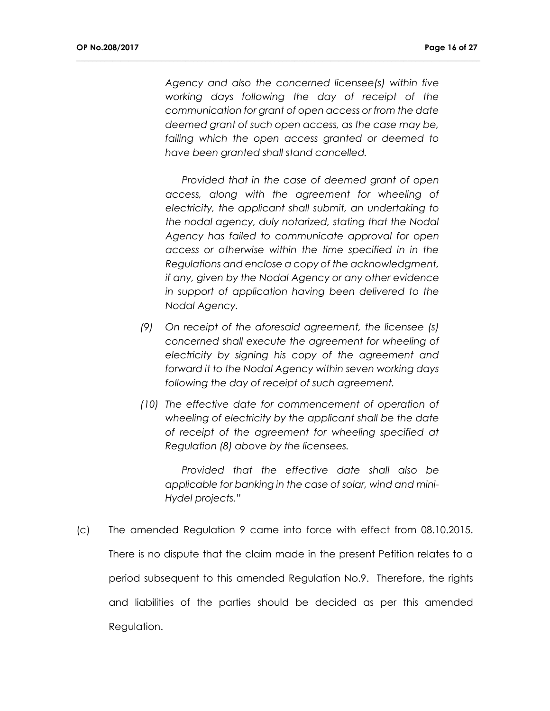*Agency and also the concerned licensee(s) within five working days following the day of receipt of the communication for grant of open access or from the date deemed grant of such open access, as the case may be, failing which the open access granted or deemed to have been granted shall stand cancelled.*

**\_\_\_\_\_\_\_\_\_\_\_\_\_\_\_\_\_\_\_\_\_\_\_\_\_\_\_\_\_\_\_\_\_\_\_\_\_\_\_\_\_\_\_\_\_\_\_\_\_\_\_\_\_\_\_\_\_\_\_\_\_\_\_\_\_\_\_\_\_\_\_\_\_\_\_\_\_\_\_\_\_\_\_\_\_\_\_\_\_\_\_\_\_\_\_\_\_\_\_\_**

 *Provided that in the case of deemed grant of open access, along with the agreement for wheeling of electricity, the applicant shall submit, an undertaking to the nodal agency, duly notarized, stating that the Nodal Agency has failed to communicate approval for open access or otherwise within the time specified in in the Regulations and enclose a copy of the acknowledgment, if any, given by the Nodal Agency or any other evidence in support of application having been delivered to the Nodal Agency.*

- *(9) On receipt of the aforesaid agreement, the licensee (s) concerned shall execute the agreement for wheeling of electricity by signing his copy of the agreement and forward it to the Nodal Agency within seven working days following the day of receipt of such agreement.*
- *(10) The effective date for commencement of operation of wheeling of electricity by the applicant shall be the date of receipt of the agreement for wheeling specified at Regulation (8) above by the licensees.*

 *Provided that the effective date shall also be applicable for banking in the case of solar, wind and mini-Hydel projects."*

(c) The amended Regulation 9 came into force with effect from 08.10.2015. There is no dispute that the claim made in the present Petition relates to a period subsequent to this amended Regulation No.9. Therefore, the rights and liabilities of the parties should be decided as per this amended Regulation.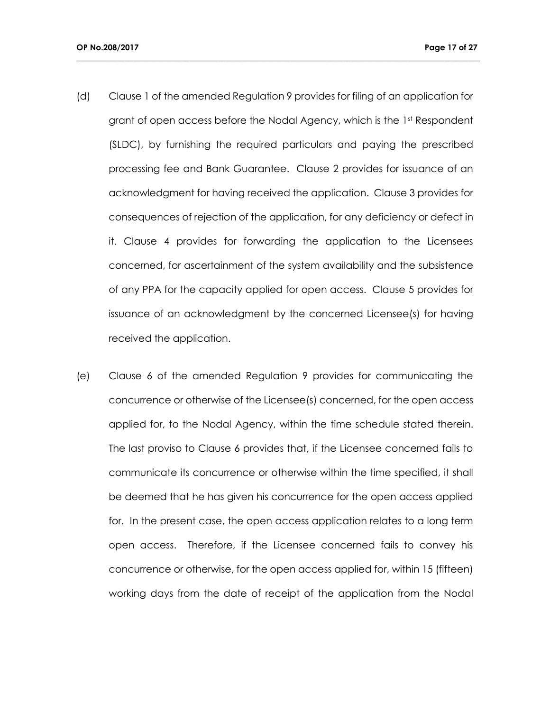(d) Clause 1 of the amended Regulation 9 provides for filing of an application for grant of open access before the Nodal Agency, which is the 1st Respondent (SLDC), by furnishing the required particulars and paying the prescribed processing fee and Bank Guarantee. Clause 2 provides for issuance of an acknowledgment for having received the application. Clause 3 provides for consequences of rejection of the application, for any deficiency or defect in it. Clause 4 provides for forwarding the application to the Licensees concerned, for ascertainment of the system availability and the subsistence of any PPA for the capacity applied for open access. Clause 5 provides for issuance of an acknowledgment by the concerned Licensee(s) for having received the application.

**\_\_\_\_\_\_\_\_\_\_\_\_\_\_\_\_\_\_\_\_\_\_\_\_\_\_\_\_\_\_\_\_\_\_\_\_\_\_\_\_\_\_\_\_\_\_\_\_\_\_\_\_\_\_\_\_\_\_\_\_\_\_\_\_\_\_\_\_\_\_\_\_\_\_\_\_\_\_\_\_\_\_\_\_\_\_\_\_\_\_\_\_\_\_\_\_\_\_\_\_**

(e) Clause 6 of the amended Regulation 9 provides for communicating the concurrence or otherwise of the Licensee(s) concerned, for the open access applied for, to the Nodal Agency, within the time schedule stated therein. The last proviso to Clause 6 provides that, if the Licensee concerned fails to communicate its concurrence or otherwise within the time specified, it shall be deemed that he has given his concurrence for the open access applied for. In the present case, the open access application relates to a long term open access. Therefore, if the Licensee concerned fails to convey his concurrence or otherwise, for the open access applied for, within 15 (fifteen) working days from the date of receipt of the application from the Nodal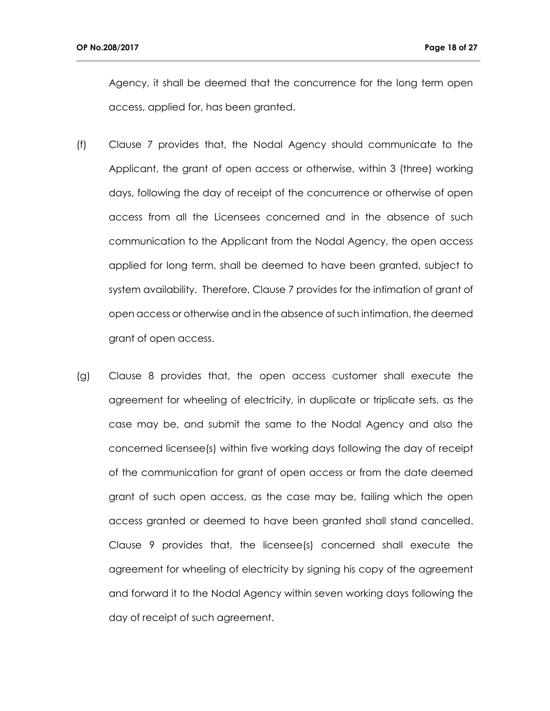Agency, it shall be deemed that the concurrence for the long term open access, applied for, has been granted.

- (f) Clause 7 provides that, the Nodal Agency should communicate to the Applicant, the grant of open access or otherwise, within 3 (three) working days, following the day of receipt of the concurrence or otherwise of open access from all the Licensees concerned and in the absence of such communication to the Applicant from the Nodal Agency, the open access applied for long term, shall be deemed to have been granted, subject to system availability. Therefore, Clause 7 provides for the intimation of grant of open access or otherwise and in the absence of such intimation, the deemed grant of open access.
- (g) Clause 8 provides that, the open access customer shall execute the agreement for wheeling of electricity, in duplicate or triplicate sets, as the case may be, and submit the same to the Nodal Agency and also the concerned licensee(s) within five working days following the day of receipt of the communication for grant of open access or from the date deemed grant of such open access, as the case may be, failing which the open access granted or deemed to have been granted shall stand cancelled. Clause 9 provides that, the licensee(s) concerned shall execute the agreement for wheeling of electricity by signing his copy of the agreement and forward it to the Nodal Agency within seven working days following the day of receipt of such agreement.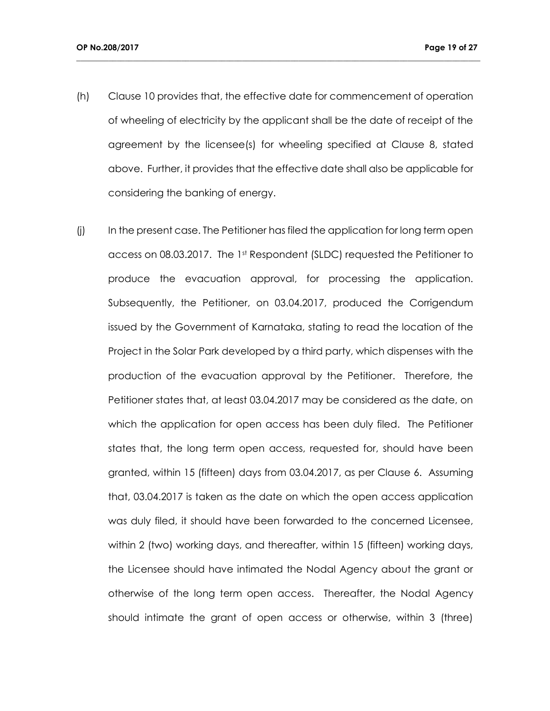(h) Clause 10 provides that, the effective date for commencement of operation of wheeling of electricity by the applicant shall be the date of receipt of the agreement by the licensee(s) for wheeling specified at Clause 8, stated above. Further, it provides that the effective date shall also be applicable for considering the banking of energy.

**\_\_\_\_\_\_\_\_\_\_\_\_\_\_\_\_\_\_\_\_\_\_\_\_\_\_\_\_\_\_\_\_\_\_\_\_\_\_\_\_\_\_\_\_\_\_\_\_\_\_\_\_\_\_\_\_\_\_\_\_\_\_\_\_\_\_\_\_\_\_\_\_\_\_\_\_\_\_\_\_\_\_\_\_\_\_\_\_\_\_\_\_\_\_\_\_\_\_\_\_**

(j) In the present case. The Petitioner has filed the application for long term open access on 08.03.2017. The 1st Respondent (SLDC) requested the Petitioner to produce the evacuation approval, for processing the application. Subsequently, the Petitioner, on 03.04.2017, produced the Corrigendum issued by the Government of Karnataka, stating to read the location of the Project in the Solar Park developed by a third party, which dispenses with the production of the evacuation approval by the Petitioner. Therefore, the Petitioner states that, at least 03.04.2017 may be considered as the date, on which the application for open access has been duly filed. The Petitioner states that, the long term open access, requested for, should have been granted, within 15 (fifteen) days from 03.04.2017, as per Clause 6. Assuming that, 03.04.2017 is taken as the date on which the open access application was duly filed, it should have been forwarded to the concerned Licensee, within 2 (two) working days, and thereafter, within 15 (fifteen) working days, the Licensee should have intimated the Nodal Agency about the grant or otherwise of the long term open access. Thereafter, the Nodal Agency should intimate the grant of open access or otherwise, within 3 (three)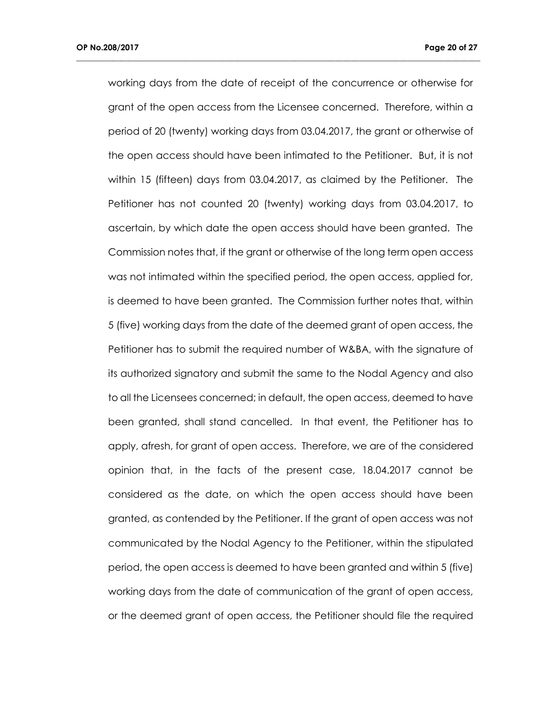working days from the date of receipt of the concurrence or otherwise for grant of the open access from the Licensee concerned. Therefore, within a period of 20 (twenty) working days from 03.04.2017, the grant or otherwise of the open access should have been intimated to the Petitioner. But, it is not within 15 (fifteen) days from 03.04.2017, as claimed by the Petitioner. The Petitioner has not counted 20 (twenty) working days from 03.04.2017, to ascertain, by which date the open access should have been granted. The Commission notes that, if the grant or otherwise of the long term open access was not intimated within the specified period, the open access, applied for, is deemed to have been granted. The Commission further notes that, within 5 (five) working days from the date of the deemed grant of open access, the Petitioner has to submit the required number of W&BA, with the signature of its authorized signatory and submit the same to the Nodal Agency and also to all the Licensees concerned; in default, the open access, deemed to have been granted, shall stand cancelled. In that event, the Petitioner has to apply, afresh, for grant of open access. Therefore, we are of the considered opinion that, in the facts of the present case, 18.04.2017 cannot be considered as the date, on which the open access should have been granted, as contended by the Petitioner. If the grant of open access was not communicated by the Nodal Agency to the Petitioner, within the stipulated period, the open access is deemed to have been granted and within 5 (five) working days from the date of communication of the grant of open access, or the deemed grant of open access, the Petitioner should file the required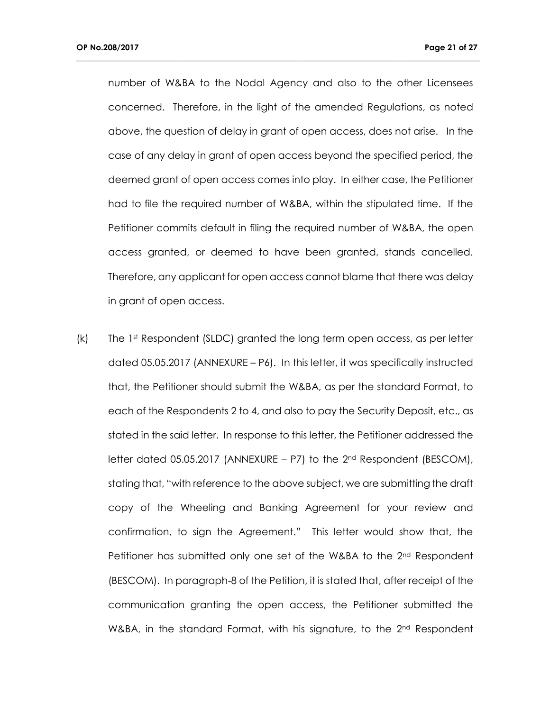number of W&BA to the Nodal Agency and also to the other Licensees concerned. Therefore, in the light of the amended Regulations, as noted above, the question of delay in grant of open access, does not arise. In the case of any delay in grant of open access beyond the specified period, the deemed grant of open access comes into play. In either case, the Petitioner had to file the required number of W&BA, within the stipulated time. If the Petitioner commits default in filing the required number of W&BA, the open access granted, or deemed to have been granted, stands cancelled. Therefore, any applicant for open access cannot blame that there was delay in grant of open access.

**\_\_\_\_\_\_\_\_\_\_\_\_\_\_\_\_\_\_\_\_\_\_\_\_\_\_\_\_\_\_\_\_\_\_\_\_\_\_\_\_\_\_\_\_\_\_\_\_\_\_\_\_\_\_\_\_\_\_\_\_\_\_\_\_\_\_\_\_\_\_\_\_\_\_\_\_\_\_\_\_\_\_\_\_\_\_\_\_\_\_\_\_\_\_\_\_\_\_\_\_**

(k) The 1st Respondent (SLDC) granted the long term open access, as per letter dated 05.05.2017 (ANNEXURE – P6). In this letter, it was specifically instructed that, the Petitioner should submit the W&BA, as per the standard Format, to each of the Respondents 2 to 4, and also to pay the Security Deposit, etc., as stated in the said letter. In response to this letter, the Petitioner addressed the letter dated 05.05.2017 (ANNEXURE – P7) to the 2<sup>nd</sup> Respondent (BESCOM), stating that, "with reference to the above subject, we are submitting the draft copy of the Wheeling and Banking Agreement for your review and confirmation, to sign the Agreement." This letter would show that, the Petitioner has submitted only one set of the W&BA to the 2<sup>nd</sup> Respondent (BESCOM). In paragraph-8 of the Petition, it is stated that, after receipt of the communication granting the open access, the Petitioner submitted the W&BA, in the standard Format, with his signature, to the  $2<sup>nd</sup>$  Respondent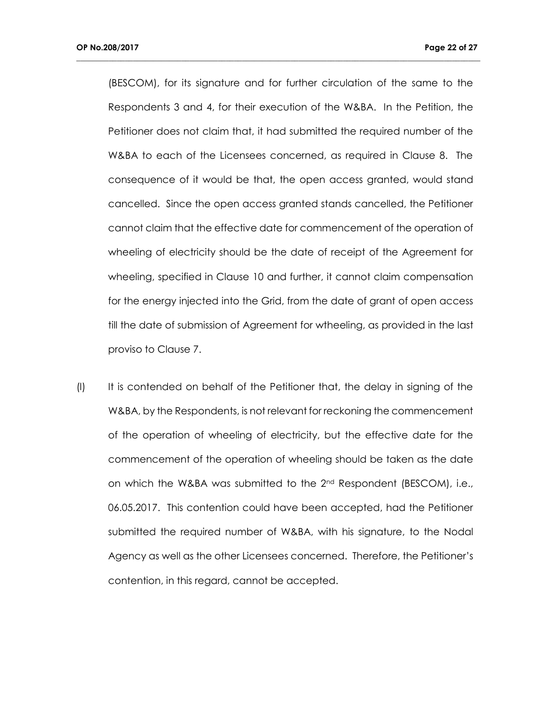(BESCOM), for its signature and for further circulation of the same to the Respondents 3 and 4, for their execution of the W&BA. In the Petition, the Petitioner does not claim that, it had submitted the required number of the W&BA to each of the Licensees concerned, as required in Clause 8. The consequence of it would be that, the open access granted, would stand cancelled. Since the open access granted stands cancelled, the Petitioner cannot claim that the effective date for commencement of the operation of wheeling of electricity should be the date of receipt of the Agreement for wheeling, specified in Clause 10 and further, it cannot claim compensation for the energy injected into the Grid, from the date of grant of open access till the date of submission of Agreement for wtheeling, as provided in the last proviso to Clause 7.

**\_\_\_\_\_\_\_\_\_\_\_\_\_\_\_\_\_\_\_\_\_\_\_\_\_\_\_\_\_\_\_\_\_\_\_\_\_\_\_\_\_\_\_\_\_\_\_\_\_\_\_\_\_\_\_\_\_\_\_\_\_\_\_\_\_\_\_\_\_\_\_\_\_\_\_\_\_\_\_\_\_\_\_\_\_\_\_\_\_\_\_\_\_\_\_\_\_\_\_\_**

(l) It is contended on behalf of the Petitioner that, the delay in signing of the W&BA, by the Respondents, is not relevant for reckoning the commencement of the operation of wheeling of electricity, but the effective date for the commencement of the operation of wheeling should be taken as the date on which the W&BA was submitted to the 2nd Respondent (BESCOM), i.e., 06.05.2017. This contention could have been accepted, had the Petitioner submitted the required number of W&BA, with his signature, to the Nodal Agency as well as the other Licensees concerned. Therefore, the Petitioner's contention, in this regard, cannot be accepted.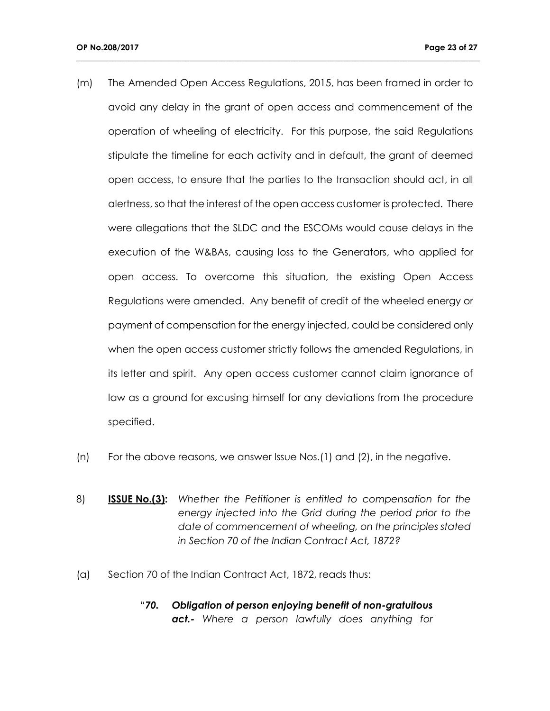(m) The Amended Open Access Regulations, 2015, has been framed in order to avoid any delay in the grant of open access and commencement of the operation of wheeling of electricity. For this purpose, the said Regulations stipulate the timeline for each activity and in default, the grant of deemed open access, to ensure that the parties to the transaction should act, in all alertness, so that the interest of the open access customer is protected. There were allegations that the SLDC and the ESCOMs would cause delays in the execution of the W&BAs, causing loss to the Generators, who applied for open access. To overcome this situation, the existing Open Access Regulations were amended. Any benefit of credit of the wheeled energy or payment of compensation for the energy injected, could be considered only when the open access customer strictly follows the amended Regulations, in its letter and spirit. Any open access customer cannot claim ignorance of law as a ground for excusing himself for any deviations from the procedure specified.

- (n) For the above reasons, we answer Issue Nos.(1) and (2), in the negative.
- 8) **ISSUE No.(3):** *Whether the Petitioner is entitled to compensation for the energy injected into the Grid during the period prior to the date of commencement of wheeling, on the principles stated in Section 70 of the Indian Contract Act, 1872?*
- (a) Section 70 of the Indian Contract Act, 1872, reads thus:
	- *"70. Obligation of person enjoying benefit of non-gratuitous act.- Where a person lawfully does anything for*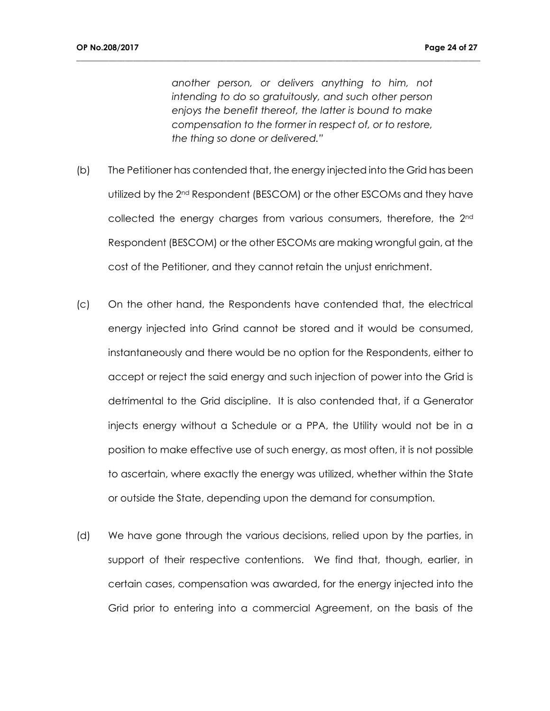*another person, or delivers anything to him, not intending to do so gratuitously, and such other person enjoys the benefit thereof, the latter is bound to make compensation to the former in respect of, or to restore, the thing so done or delivered."*

- (b) The Petitioner has contended that, the energy injected into the Grid has been utilized by the 2nd Respondent (BESCOM) or the other ESCOMs and they have collected the energy charges from various consumers, therefore, the 2nd Respondent (BESCOM) or the other ESCOMs are making wrongful gain, at the cost of the Petitioner, and they cannot retain the unjust enrichment.
- (c) On the other hand, the Respondents have contended that, the electrical energy injected into Grind cannot be stored and it would be consumed, instantaneously and there would be no option for the Respondents, either to accept or reject the said energy and such injection of power into the Grid is detrimental to the Grid discipline. It is also contended that, if a Generator injects energy without a Schedule or a PPA, the Utility would not be in a position to make effective use of such energy, as most often, it is not possible to ascertain, where exactly the energy was utilized, whether within the State or outside the State, depending upon the demand for consumption.
- (d) We have gone through the various decisions, relied upon by the parties, in support of their respective contentions. We find that, though, earlier, in certain cases, compensation was awarded, for the energy injected into the Grid prior to entering into a commercial Agreement, on the basis of the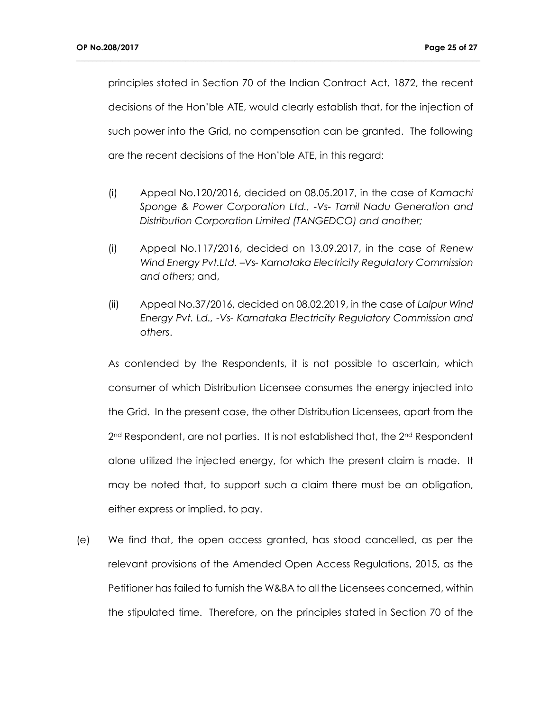principles stated in Section 70 of the Indian Contract Act, 1872, the recent decisions of the Hon'ble ATE, would clearly establish that, for the injection of such power into the Grid, no compensation can be granted. The following are the recent decisions of the Hon'ble ATE, in this regard:

**\_\_\_\_\_\_\_\_\_\_\_\_\_\_\_\_\_\_\_\_\_\_\_\_\_\_\_\_\_\_\_\_\_\_\_\_\_\_\_\_\_\_\_\_\_\_\_\_\_\_\_\_\_\_\_\_\_\_\_\_\_\_\_\_\_\_\_\_\_\_\_\_\_\_\_\_\_\_\_\_\_\_\_\_\_\_\_\_\_\_\_\_\_\_\_\_\_\_\_\_**

- (i) Appeal No.120/2016, decided on 08.05.2017, in the case of *Kamachi Sponge & Power Corporation Ltd., -Vs- Tamil Nadu Generation and Distribution Corporation Limited (TANGEDCO) and another;*
- (i) Appeal No.117/2016, decided on 13.09.2017, in the case of *Renew Wind Energy Pvt.Ltd. –Vs- Karnataka Electricity Regulatory Commission and others*; and,
- (ii) Appeal No.37/2016, decided on 08.02.2019, in the case of *Lalpur Wind Energy Pvt. Ld., -Vs- Karnataka Electricity Regulatory Commission and others*.

As contended by the Respondents, it is not possible to ascertain, which consumer of which Distribution Licensee consumes the energy injected into the Grid. In the present case, the other Distribution Licensees, apart from the  $2^{nd}$  Respondent, are not parties. It is not established that, the  $2^{nd}$  Respondent alone utilized the injected energy, for which the present claim is made. It may be noted that, to support such a claim there must be an obligation, either express or implied, to pay.

(e) We find that, the open access granted, has stood cancelled, as per the relevant provisions of the Amended Open Access Regulations, 2015, as the Petitioner has failed to furnish the W&BA to all the Licensees concerned, within the stipulated time. Therefore, on the principles stated in Section 70 of the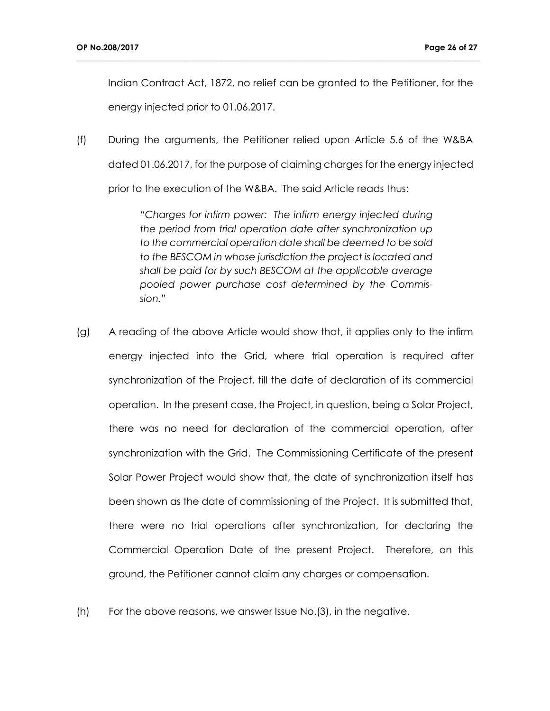Indian Contract Act, 1872, no relief can be granted to the Petitioner, for the energy injected prior to 01.06.2017.

**\_\_\_\_\_\_\_\_\_\_\_\_\_\_\_\_\_\_\_\_\_\_\_\_\_\_\_\_\_\_\_\_\_\_\_\_\_\_\_\_\_\_\_\_\_\_\_\_\_\_\_\_\_\_\_\_\_\_\_\_\_\_\_\_\_\_\_\_\_\_\_\_\_\_\_\_\_\_\_\_\_\_\_\_\_\_\_\_\_\_\_\_\_\_\_\_\_\_\_\_**

(f) During the arguments, the Petitioner relied upon Article 5.6 of the W&BA dated 01.06.2017, for the purpose of claiming charges for the energy injected prior to the execution of the W&BA. The said Article reads thus:

> *"Charges for infirm power: The infirm energy injected during the period from trial operation date after synchronization up to the commercial operation date shall be deemed to be sold to the BESCOM in whose jurisdiction the project is located and shall be paid for by such BESCOM at the applicable average pooled power purchase cost determined by the Commission."*

- (g) A reading of the above Article would show that, it applies only to the infirm energy injected into the Grid, where trial operation is required after synchronization of the Project, till the date of declaration of its commercial operation. In the present case, the Project, in question, being a Solar Project, there was no need for declaration of the commercial operation, after synchronization with the Grid. The Commissioning Certificate of the present Solar Power Project would show that, the date of synchronization itself has been shown as the date of commissioning of the Project. It is submitted that, there were no trial operations after synchronization, for declaring the Commercial Operation Date of the present Project. Therefore, on this ground, the Petitioner cannot claim any charges or compensation.
- (h) For the above reasons, we answer Issue No.(3), in the negative.